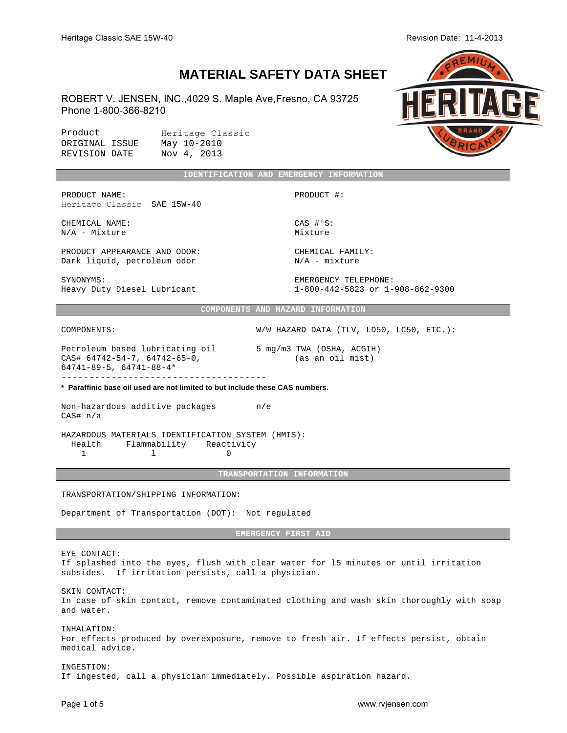$M<sub>l</sub>$ 

## **MATERIAL SAFETY DATA SHEET**

ROBERT V. JENSEN, INC.,4029 S. Maple Ave,Fresno, CA 93725 Phone 1-800-366-8210

| Product        |  | Heritage Classic |
|----------------|--|------------------|
| ORIGINAL ISSUE |  | May 10-2010      |
| REVISION DATE  |  | Nov 4, 2013      |

|                                                                                                                                   | IDENTIFICATION AND EMERGENCY INFORMATION                 |  |  |
|-----------------------------------------------------------------------------------------------------------------------------------|----------------------------------------------------------|--|--|
| PRODUCT NAME:<br>Heritage Classic SAE 15W-40                                                                                      | PRODUCT #:                                               |  |  |
| CHEMICAL NAME:<br>$N/A$ - Mixture                                                                                                 | $CAS$ $\#$ 'S:<br>Mixture                                |  |  |
| PRODUCT APPEARANCE AND ODOR:<br>Dark liquid, petroleum odor                                                                       | CHEMICAL FAMILY:<br>$N/A$ - mixture                      |  |  |
| SYNONYMS:<br>Heavy Duty Diesel Lubricant                                                                                          | EMERGENCY TELEPHONE:<br>1-800-442-5823 or 1-908-862-9300 |  |  |
|                                                                                                                                   | COMPONENTS AND HAZARD INFORMATION                        |  |  |
| COMPONENTS:                                                                                                                       | W/W HAZARD DATA (TLV, LD50, LC50, ETC.):                 |  |  |
| Petroleum based lubricating oil 5 mg/m3 TWA (OSHA, ACGIH)<br>CAS# 64742-54-7, 64742-65-0,<br>$64741 - 89 - 5$ , $64741 - 88 - 4*$ | (as an oil mist)                                         |  |  |
| * Paraffinic base oil used are not limited to but include these CAS numbers.                                                      |                                                          |  |  |
| Non-hazardous additive packages m/e<br>CAS# n/a                                                                                   |                                                          |  |  |
| HAZARDOUS MATERIALS IDENTIFICATION SYSTEM (HMIS):<br>Health<br>Flammability Reactivity<br>$\mathbf{1}$<br>1<br>$\Omega$           |                                                          |  |  |
|                                                                                                                                   | TRANSPORTATION INFORMATION                               |  |  |
| TRANSPORTATION/SHIPPING INFORMATION:                                                                                              |                                                          |  |  |
| Department of Transportation (DOT): Not regulated                                                                                 |                                                          |  |  |
|                                                                                                                                   | <b>EMERGENCY FIRST AID</b>                               |  |  |

EYE CONTACT: If splashed into the eyes, flush with clear water for l5 minutes or until irritation subsides. If irritation persists, call a physician. SKIN CONTACT: In case of skin contact, remove contaminated clothing and wash skin thoroughly with soap and water. INHALATION:

For effects produced by overexposure, remove to fresh air. If effects persist, obtain medical advice.

INGESTION: If ingested, call a physician immediately. Possible aspiration hazard.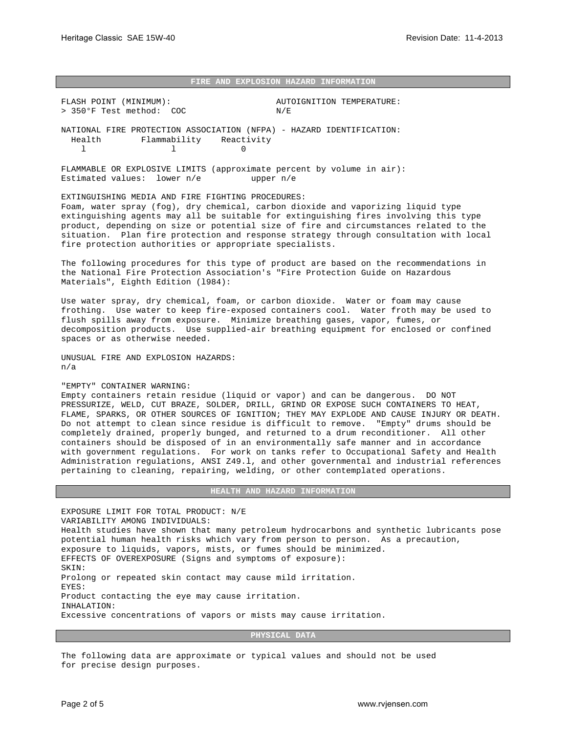## **FIRE AND EXPLOSION HAZARD INFORMATION**

FLASH POINT (MINIMUM): AUTOIGNITION TEMPERATURE: > 350°F Test method: COC N/E NATIONAL FIRE PROTECTION ASSOCIATION (NFPA) - HAZARD IDENTIFICATION: Health Flammability Reactivity l 0

FLAMMABLE OR EXPLOSIVE LIMITS (approximate percent by volume in air): Estimated values: lower n/e upper n/e

EXTINGUISHING MEDIA AND FIRE FIGHTING PROCEDURES: Foam, water spray (fog), dry chemical, carbon dioxide and vaporizing liquid type extinguishing agents may all be suitable for extinguishing fires involving this type product, depending on size or potential size of fire and circumstances related to the situation. Plan fire protection and response strategy through consultation with local fire protection authorities or appropriate specialists.

The following procedures for this type of product are based on the recommendations in the National Fire Protection Association's "Fire Protection Guide on Hazardous Materials", Eighth Edition (l984):

Use water spray, dry chemical, foam, or carbon dioxide. Water or foam may cause frothing. Use water to keep fire-exposed containers cool. Water froth may be used to flush spills away from exposure. Minimize breathing gases, vapor, fumes, or decomposition products. Use supplied-air breathing equipment for enclosed or confined spaces or as otherwise needed.

UNUSUAL FIRE AND EXPLOSION HAZARDS: n/a

## "EMPTY" CONTAINER WARNING:

Empty containers retain residue (liquid or vapor) and can be dangerous. DO NOT PRESSURIZE, WELD, CUT BRAZE, SOLDER, DRILL, GRIND OR EXPOSE SUCH CONTAINERS TO HEAT, FLAME, SPARKS, OR OTHER SOURCES OF IGNITION; THEY MAY EXPLODE AND CAUSE INJURY OR DEATH. Do not attempt to clean since residue is difficult to remove. "Empty" drums should be completely drained, properly bunged, and returned to a drum reconditioner. All other containers should be disposed of in an environmentally safe manner and in accordance with government regulations. For work on tanks refer to Occupational Safety and Health Administration regulations, ANSI Z49.l, and other governmental and industrial references pertaining to cleaning, repairing, welding, or other contemplated operations.

## **HEALTH AND HAZARD INFORMATION**

EXPOSURE LIMIT FOR TOTAL PRODUCT: N/E VARIABILITY AMONG INDIVIDUALS: Health studies have shown that many petroleum hydrocarbons and synthetic lubricants pose potential human health risks which vary from person to person. As a precaution, exposure to liquids, vapors, mists, or fumes should be minimized. EFFECTS OF OVEREXPOSURE (Signs and symptoms of exposure): SKIN: Prolong or repeated skin contact may cause mild irritation. EYES: Product contacting the eye may cause irritation. INHALATION: Excessive concentrations of vapors or mists may cause irritation.

**PHYSICAL DATA**

The following data are approximate or typical values and should not be used for precise design purposes.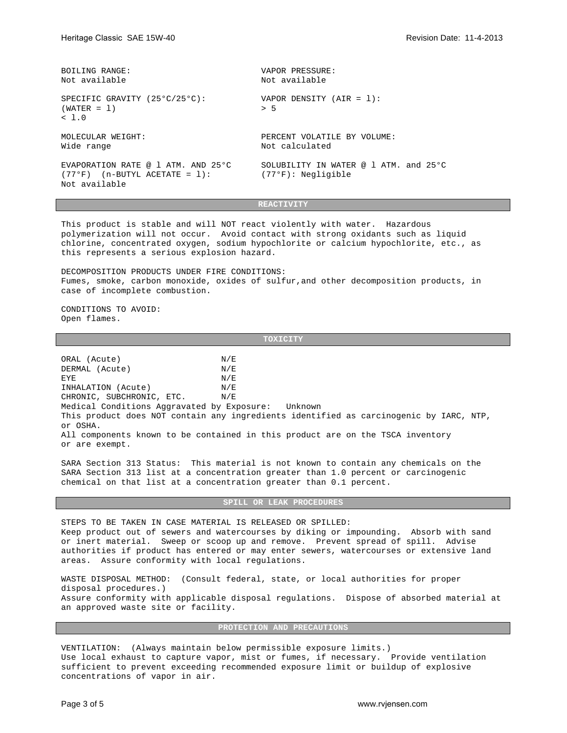| BOILING RANGE:                                                                                | VAPOR PRESSURE:                                                           |
|-----------------------------------------------------------------------------------------------|---------------------------------------------------------------------------|
| Not available                                                                                 | Not available                                                             |
| SPECIFIC GRAVITY (25°C/25°C):<br>$(WATER = 1)$<br>< 1.0                                       | VAPOR DENSITY $(AIR = 1)$ :<br>> 5                                        |
| MOLECULAR WEIGHT:                                                                             | PERCENT VOLATILE BY VOLUME:                                               |
| Wide range                                                                                    | Not calculated                                                            |
| EVAPORATION RATE @ 1 ATM. AND 25°C<br>$(77^{\circ}F)$ (n-BUTYL ACETATE = 1):<br>Not available | SOLUBILITY IN WATER $\varnothing$ 1 ATM, and 25°C<br>$(77°F):$ Negligible |

**REACTIVITY**

This product is stable and will NOT react violently with water. Hazardous polymerization will not occur. Avoid contact with strong oxidants such as liquid chlorine, concentrated oxygen, sodium hypochlorite or calcium hypochlorite, etc., as this represents a serious explosion hazard.

DECOMPOSITION PRODUCTS UNDER FIRE CONDITIONS: Fumes, smoke, carbon monoxide, oxides of sulfur,and other decomposition products, in case of incomplete combustion.

CONDITIONS TO AVOID: Open flames.

**TOXICITY**

ORAL (Acute)  $N/E$ DERMAL (Acute)  $N/E$ EYE N/E INHALATION (Acute) N/E CHRONIC, SUBCHRONIC, ETC. N/E Medical Conditions Aggravated by Exposure: Unknown This product does NOT contain any ingredients identified as carcinogenic by IARC, NTP, or OSHA. All components known to be contained in this product are on the TSCA inventory or are exempt.

SARA Section 313 Status: This material is not known to contain any chemicals on the SARA Section 313 list at a concentration greater than 1.0 percent or carcinogenic chemical on that list at a concentration greater than 0.1 percent.

**SPILL OR LEAK PROCEDURES**

STEPS TO BE TAKEN IN CASE MATERIAL IS RELEASED OR SPILLED: Keep product out of sewers and watercourses by diking or impounding. Absorb with sand or inert material. Sweep or scoop up and remove. Prevent spread of spill. Advise authorities if product has entered or may enter sewers, watercourses or extensive land areas. Assure conformity with local regulations.

WASTE DISPOSAL METHOD: (Consult federal, state, or local authorities for proper disposal procedures.) Assure conformity with applicable disposal regulations. Dispose of absorbed material at an approved waste site or facility.

**PROTECTION AND PRECAUTIONS**

VENTILATION: (Always maintain below permissible exposure limits.) Use local exhaust to capture vapor, mist or fumes, if necessary. Provide ventilation sufficient to prevent exceeding recommended exposure limit or buildup of explosive concentrations of vapor in air.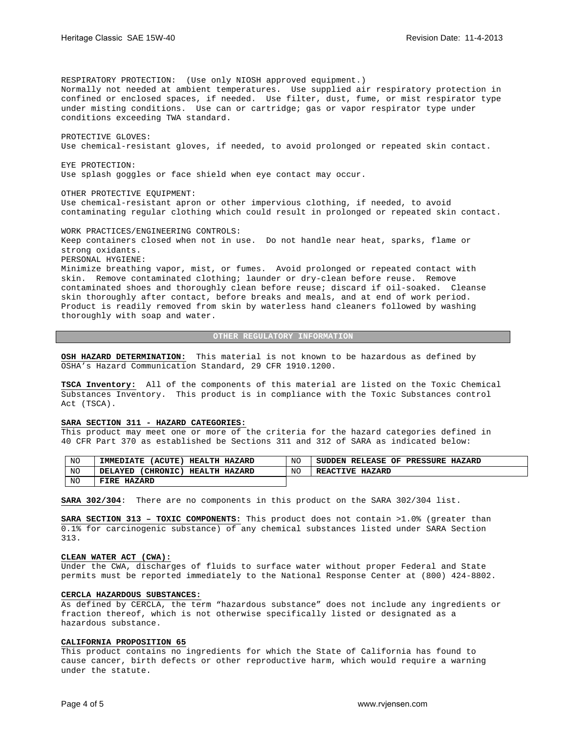RESPIRATORY PROTECTION: (Use only NIOSH approved equipment.) Normally not needed at ambient temperatures. Use supplied air respiratory protection in confined or enclosed spaces, if needed. Use filter, dust, fume, or mist respirator type under misting conditions. Use can or cartridge; gas or vapor respirator type under conditions exceeding TWA standard. PROTECTIVE GLOVES: Use chemical-resistant gloves, if needed, to avoid prolonged or repeated skin contact. EYE PROTECTION: Use splash goggles or face shield when eye contact may occur. OTHER PROTECTIVE EQUIPMENT: Use chemical-resistant apron or other impervious clothing, if needed, to avoid contaminating regular clothing which could result in prolonged or repeated skin contact. WORK PRACTICES/ENGINEERING CONTROLS: Keep containers closed when not in use. Do not handle near heat, sparks, flame or strong oxidants. PERSONAL HYGIENE: Minimize breathing vapor, mist, or fumes. Avoid prolonged or repeated contact with

skin. Remove contaminated clothing; launder or dry-clean before reuse. Remove contaminated shoes and thoroughly clean before reuse; discard if oil-soaked. Cleanse skin thoroughly after contact, before breaks and meals, and at end of work period. Product is readily removed from skin by waterless hand cleaners followed by washing thoroughly with soap and water.

## **OTHER REGULATORY INFORMATION**

**OSH HAZARD DETERMINATION:** This material is not known to be hazardous as defined by OSHA's Hazard Communication Standard, 29 CFR 1910.1200.

**TSCA Inventory:** All of the components of this material are listed on the Toxic Chemical Substances Inventory. This product is in compliance with the Toxic Substances control Act (TSCA).

#### **SARA SECTION 311 - HAZARD CATEGORIES:**

This product may meet one or more of the criteria for the hazard categories defined in 40 CFR Part 370 as established be Sections 311 and 312 of SARA as indicated below:

| NO             | 'ACUTE .<br><b>HEALTH</b><br><b>IMMEDIATE</b><br><b>HAZARD</b> | NO | <b>RELEASE</b><br>OF<br><b>PRESSURE</b><br><b>SUDDEN</b><br><b>HAZARD</b> |
|----------------|----------------------------------------------------------------|----|---------------------------------------------------------------------------|
| N <sub>O</sub> | 'CHRONIC)<br><b>HEALTH</b><br><b>HAZARD</b><br>DELAYED         | NO | <b>REACTIVE</b><br><b>HAZARD</b>                                          |
| NO             | FIRE<br><b>HAZARD</b>                                          |    |                                                                           |

**SARA 302/304**: There are no components in this product on the SARA 302/304 list.

**SARA SECTION 313 – TOXIC COMPONENTS:** This product does not contain >1.0% (greater than 0.1% for carcinogenic substance) of any chemical substances listed under SARA Section 313.

## **CLEAN WATER ACT (CWA):**

Under the CWA, discharges of fluids to surface water without proper Federal and State permits must be reported immediately to the National Response Center at (800) 424-8802.

## **CERCLA HAZARDOUS SUBSTANCES:**

As defined by CERCLA, the term "hazardous substance" does not include any ingredients or fraction thereof, which is not otherwise specifically listed or designated as a hazardous substance.

## **CALIFORNIA PROPOSITION 65**

This product contains no ingredients for which the State of California has found to cause cancer, birth defects or other reproductive harm, which would require a warning under the statute.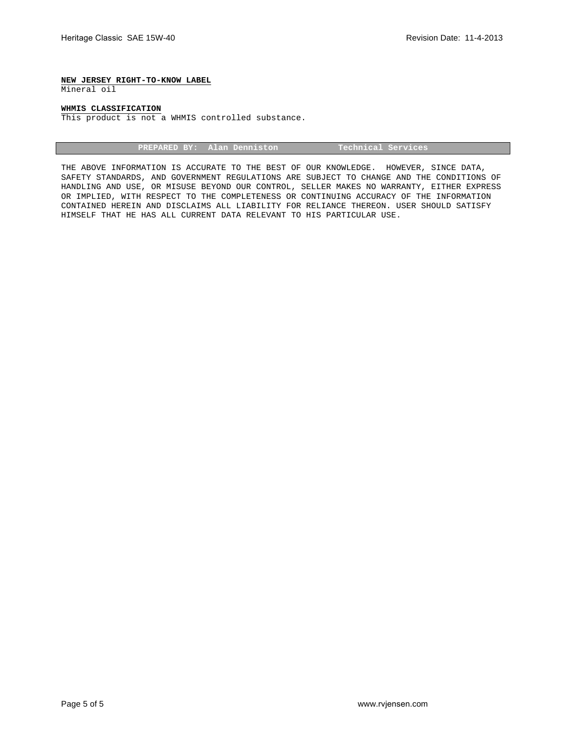## **NEW JERSEY RIGHT-TO-KNOW LABEL**

Mineral oil

## **WHMIS CLASSIFICATION**

This product is not a WHMIS controlled substance.

| PREPARED BY: Alan Denniston | Technical Services \ |
|-----------------------------|----------------------|
|                             |                      |

THE ABOVE INFORMATION IS ACCURATE TO THE BEST OF OUR KNOWLEDGE. HOWEVER, SINCE DATA, SAFETY STANDARDS, AND GOVERNMENT REGULATIONS ARE SUBJECT TO CHANGE AND THE CONDITIONS OF HANDLING AND USE, OR MISUSE BEYOND OUR CONTROL, SELLER MAKES NO WARRANTY, EITHER EXPRESS OR IMPLIED, WITH RESPECT TO THE COMPLETENESS OR CONTINUING ACCURACY OF THE INFORMATION CONTAINED HEREIN AND DISCLAIMS ALL LIABILITY FOR RELIANCE THEREON. USER SHOULD SATISFY HIMSELF THAT HE HAS ALL CURRENT DATA RELEVANT TO HIS PARTICULAR USE.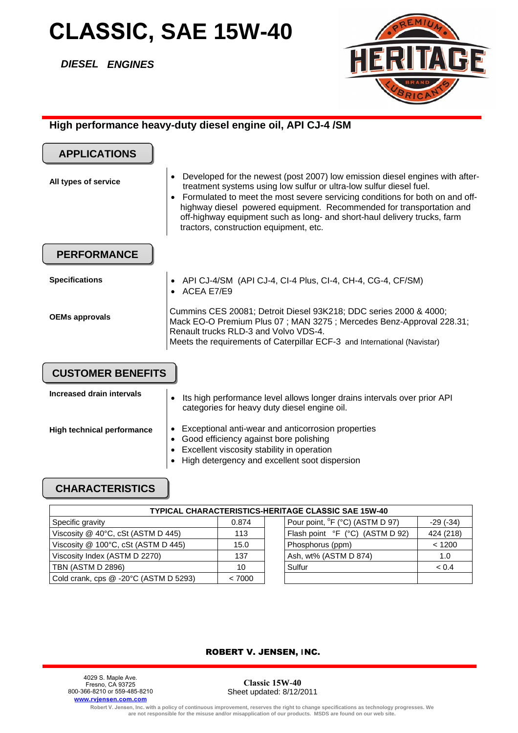## **CLASSIC, SAE 15W-40**

*DIESEL ENGINES*



## **High performance heavy-duty diesel engine oil, API CJ-4 /SM**

| <b>APPLICATIONS</b>       |                                                                                                                                                                                                                                                                                                                                                                                                                                                             |
|---------------------------|-------------------------------------------------------------------------------------------------------------------------------------------------------------------------------------------------------------------------------------------------------------------------------------------------------------------------------------------------------------------------------------------------------------------------------------------------------------|
| All types of service      | Developed for the newest (post 2007) low emission diesel engines with after-<br>$\bullet$<br>treatment systems using low sulfur or ultra-low sulfur diesel fuel.<br>Formulated to meet the most severe servicing conditions for both on and off-<br>$\bullet$<br>highway diesel powered equipment. Recommended for transportation and<br>off-highway equipment such as long- and short-haul delivery trucks, farm<br>tractors, construction equipment, etc. |
| <b>PERFORMANCE</b>        |                                                                                                                                                                                                                                                                                                                                                                                                                                                             |
| <b>Specifications</b>     | API CJ-4/SM (API CJ-4, CI-4 Plus, CI-4, CH-4, CG-4, CF/SM)<br>ACEA E7/E9<br>$\bullet$                                                                                                                                                                                                                                                                                                                                                                       |
| <b>OEMs approvals</b>     | Cummins CES 20081; Detroit Diesel 93K218; DDC series 2000 & 4000;<br>Mack EO-O Premium Plus 07; MAN 3275; Mercedes Benz-Approval 228.31;<br>Renault trucks RLD-3 and Volvo VDS-4.<br>Meets the requirements of Caterpillar ECF-3 and International (Navistar)                                                                                                                                                                                               |
| <b>CUSTOMER BENEFITS</b>  |                                                                                                                                                                                                                                                                                                                                                                                                                                                             |
| Increased drain intervals | Ito bigh perfermance level ellowe lenger droipe intervals ever prior. A DI                                                                                                                                                                                                                                                                                                                                                                                  |

| INGLEASED QIAIN INGLYAIS   | $\bullet$ | Its high performance level allows longer drains intervals over prior API<br>categories for heavy duty diesel engine oil. |
|----------------------------|-----------|--------------------------------------------------------------------------------------------------------------------------|
| High technical performance |           | Exceptional anti-wear and anticorrosion properties<br>• Good efficiency against bore polishing                           |
|                            |           | • Excellent viscosity stability in operation                                                                             |
|                            |           | • High detergency and excellent soot dispersion                                                                          |

## **CHARACTERISTICS**

| TYPICAL CHARACTERISTICS-HERITAGE CLASSIC SAE 15W-40 |        |                                                           |  |  |  |
|-----------------------------------------------------|--------|-----------------------------------------------------------|--|--|--|
| Specific gravity                                    | 0.874  | Pour point, <sup>o</sup> F (°C) (ASTM D 97)<br>$-29(-34)$ |  |  |  |
| Viscosity @ 40°C, cSt (ASTM D 445)                  | 113    | 424 (218)<br>Flash point °F (°C) (ASTM D 92)              |  |  |  |
| Viscosity @ 100°C, cSt (ASTM D 445)                 | 15.0   | Phosphorus (ppm)<br>< 1200                                |  |  |  |
| Viscosity Index (ASTM D 2270)                       | 137    | Ash, wt% (ASTM D 874)<br>1.0                              |  |  |  |
| TBN (ASTM D 2896)                                   | 10     | Sulfur<br>< 0.4                                           |  |  |  |
| Cold crank, cps @ -20°C (ASTM D 5293)               | < 7000 |                                                           |  |  |  |

## ROBERT V. JENSEN, INC.

4029 S. Maple Ave. Fresno, CA 93725 800-366-8210 or 559-485-8210 **www.rvjensen.com.com**

**Classic 15W-40**  Sheet updated: 8/12/2011

Robert V. Jensen, Inc. with a policy of continuous improvement, reserves the right to change specifications as technology progresses. We<br>are not responsible for the misuse and/or misapplication of our products. MSDS are fo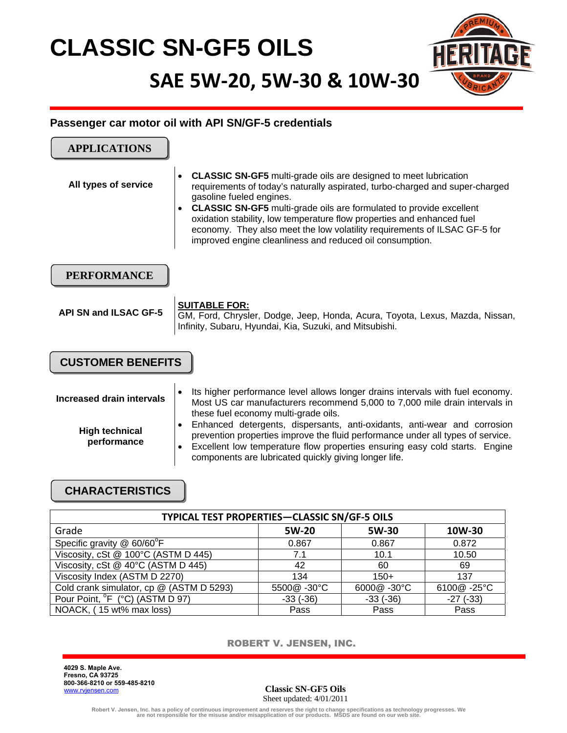# **CLASSIC SN-GF5 OILS**

**SAE 5W‐20, 5W‐30 & 10W‐30**



## **Passenger car motor oil with API SN/GF-5 credentials**

| <b>APPLICATIONS</b>                                               |                                                                                                                                                                                                                                                                                                                                                                                                                                                                                                                                            |
|-------------------------------------------------------------------|--------------------------------------------------------------------------------------------------------------------------------------------------------------------------------------------------------------------------------------------------------------------------------------------------------------------------------------------------------------------------------------------------------------------------------------------------------------------------------------------------------------------------------------------|
| All types of service                                              | <b>CLASSIC SN-GF5</b> multi-grade oils are designed to meet lubrication<br>$\bullet$<br>requirements of today's naturally aspirated, turbo-charged and super-charged<br>gasoline fueled engines.<br><b>CLASSIC SN-GF5</b> multi-grade oils are formulated to provide excellent<br>$\bullet$<br>oxidation stability, low temperature flow properties and enhanced fuel<br>economy. They also meet the low volatility requirements of ILSAC GF-5 for<br>improved engine cleanliness and reduced oil consumption.                             |
| <b>PERFORMANCE</b>                                                |                                                                                                                                                                                                                                                                                                                                                                                                                                                                                                                                            |
| <b>API SN and ILSAC GF-5</b>                                      | <b>SUITABLE FOR:</b><br>GM, Ford, Chrysler, Dodge, Jeep, Honda, Acura, Toyota, Lexus, Mazda, Nissan,<br>Infinity, Subaru, Hyundai, Kia, Suzuki, and Mitsubishi.                                                                                                                                                                                                                                                                                                                                                                            |
| <b>CUSTOMER BENEFITS</b>                                          |                                                                                                                                                                                                                                                                                                                                                                                                                                                                                                                                            |
| Increased drain intervals<br><b>High technical</b><br>performance | Its higher performance level allows longer drains intervals with fuel economy.<br>٠<br>Most US car manufacturers recommend 5,000 to 7,000 mile drain intervals in<br>these fuel economy multi-grade oils.<br>Enhanced detergents, dispersants, anti-oxidants, anti-wear and corrosion<br>$\bullet$<br>prevention properties improve the fluid performance under all types of service.<br>Excellent low temperature flow properties ensuring easy cold starts. Engine<br>$\bullet$<br>components are lubricated quickly giving longer life. |
|                                                                   |                                                                                                                                                                                                                                                                                                                                                                                                                                                                                                                                            |

## **CHARACTERISTICS**

| TYPICAL TEST PROPERTIES-CLASSIC SN/GF-5 OILS |            |            |                 |  |  |
|----------------------------------------------|------------|------------|-----------------|--|--|
| Grade                                        | 5W-20      | 5W-30      | 10W-30          |  |  |
| Specific gravity @ 60/60°F                   | 0.867      | 0.867      | 0.872           |  |  |
| Viscosity, cSt @ 100°C (ASTM D 445)          | 7.1        | 10.1       | 10.50           |  |  |
| Viscosity, cSt @ 40°C (ASTM D 445)           | 42         | 60         | 69              |  |  |
| Viscosity Index (ASTM D 2270)                | 134        | $150+$     | 137             |  |  |
| Cold crank simulator, cp @ (ASTM D 5293)     | 5500@-30°C | 6000@-30°C | 6100@-25°C      |  |  |
| Pour Point, <sup>°</sup> F (°C) (ASTM D 97)  | $-33(-36)$ | $-33(-36)$ | $-27$ ( $-33$ ) |  |  |
| NOACK, (15 wt% max loss)                     | Pass       | Pass       | Pass            |  |  |

ROBERT V. JENSEN, INC.

**4029 S. Maple Ave. Fresno, CA 93725 800-366-8210 or 559-485-8210**  www.[rvjensen.c](http://www.total-us.com/)om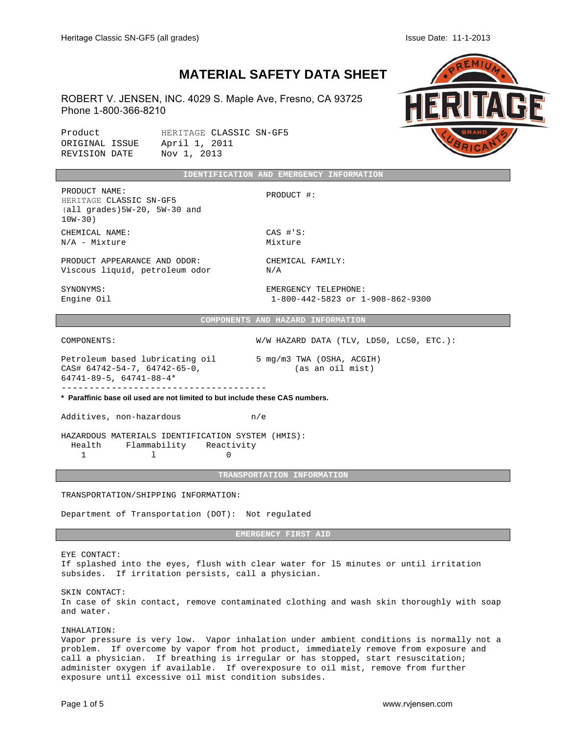## **MATERIAL SAFETY DATA SHEET**

ROBERT V. JENSEN, INC. 4029 S. Maple Ave, Fresno, CA 93725 Phone 1-800-366-8210

Product HERITAGE CLASSIC SN-GF5<br>ORIGINAL ISSUE April 1, 2011 ORIGINAL ISSUE REVISION DATE Nov 1, 2013



|                                                                                              | IDENTIFICATION AND EMERGENCY INFORMATION |            |  |
|----------------------------------------------------------------------------------------------|------------------------------------------|------------|--|
| PRODUCT NAME:<br>HERITAGE CLASSIC SN-GF5<br>$(all \nqrades)$ 5W-20, 5W-30 and<br>$10W - 30)$ |                                          | PRODUCT #: |  |

CHEMICAL NAME: CAS #'S:  $N/A$  - Mixture Mixture

PRODUCT APPEARANCE AND ODOR: CHEMICAL FAMILY: Viscous liquid, petroleum odor N/A

SYNONYMS: EMERGENCY TELEPHONE:

Engine Oil 1-800-442-5823 or 1-908-862-9300

**COMPONENTS AND HAZARD INFORMATION**

COMPONENTS: W/W HAZARD DATA (TLV, LD50, LC50, ETC.):

Petroleum based lubricating oil 5 mg/m3 TWA (OSHA, ACGIH) CAS# 64742-54-7, 64742-65-0, (as an oil mist) 64741-89-5, 64741-88-4\* -------------------------------------

**\* Paraffinic base oil used are not limited to but include these CAS numbers.**

Additives, non-hazardous m/e

HAZARDOUS MATERIALS IDENTIFICATION SYSTEM (HMIS): Health Flammability Reactivity 1 l 0

## **TRANSPORTATION INFORMATION**

TRANSPORTATION/SHIPPING INFORMATION:

Department of Transportation (DOT): Not regulated

**EMERGENCY FIRST AID**

EYE CONTACT:

If splashed into the eyes, flush with clear water for l5 minutes or until irritation subsides. If irritation persists, call a physician.

SKIN CONTACT:

In case of skin contact, remove contaminated clothing and wash skin thoroughly with soap and water.

INHALATION:

Vapor pressure is very low. Vapor inhalation under ambient conditions is normally not a problem. If overcome by vapor from hot product, immediately remove from exposure and call a physician. If breathing is irregular or has stopped, start resuscitation; administer oxygen if available. If overexposure to oil mist, remove from further exposure until excessive oil mist condition subsides.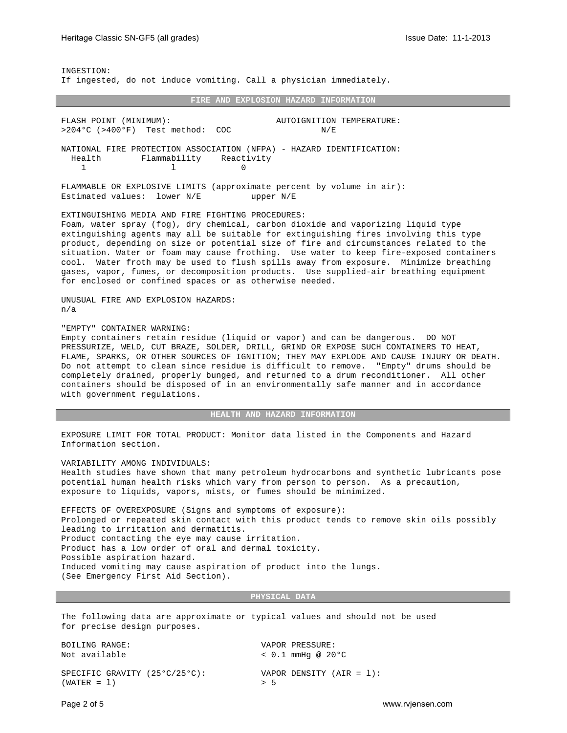INGESTION: If ingested, do not induce vomiting. Call a physician immediately.

#### **FIRE AND EXPLOSION HAZARD INFORMATION**

FLASH POINT (MINIMUM): AUTOIGNITION TEMPERATURE: >204°C (>400°F) Test method: COC N/E NATIONAL FIRE PROTECTION ASSOCIATION (NFPA) - HAZARD IDENTIFICATION: Health Flammability Reactivity 1 0 FLAMMABLE OR EXPLOSIVE LIMITS (approximate percent by volume in air): Estimated values: lower N/E upper N/E EXTINGUISHING MEDIA AND FIRE FIGHTING PROCEDURES: Foam, water spray (fog), dry chemical, carbon dioxide and vaporizing liquid type extinguishing agents may all be suitable for extinguishing fires involving this type product, depending on size or potential size of fire and circumstances related to the situation. Water or foam may cause frothing. Use water to keep fire-exposed containers cool. Water froth may be used to flush spills away from exposure. Minimize breathing gases, vapor, fumes, or decomposition products. Use supplied-air breathing equipment for enclosed or confined spaces or as otherwise needed. UNUSUAL FIRE AND EXPLOSION HAZARDS: n/a "EMPTY" CONTAINER WARNING: Empty containers retain residue (liquid or vapor) and can be dangerous. DO NOT

PRESSURIZE, WELD, CUT BRAZE, SOLDER, DRILL, GRIND OR EXPOSE SUCH CONTAINERS TO HEAT, FLAME, SPARKS, OR OTHER SOURCES OF IGNITION; THEY MAY EXPLODE AND CAUSE INJURY OR DEATH. Do not attempt to clean since residue is difficult to remove. "Empty" drums should be completely drained, properly bunged, and returned to a drum reconditioner. All other containers should be disposed of in an environmentally safe manner and in accordance with government regulations.

**HEALTH AND HAZARD INFORMATION**

EXPOSURE LIMIT FOR TOTAL PRODUCT: Monitor data listed in the Components and Hazard Information section.

VARIABILITY AMONG INDIVIDUALS:

Health studies have shown that many petroleum hydrocarbons and synthetic lubricants pose potential human health risks which vary from person to person. As a precaution, exposure to liquids, vapors, mists, or fumes should be minimized.

EFFECTS OF OVEREXPOSURE (Signs and symptoms of exposure): Prolonged or repeated skin contact with this product tends to remove skin oils possibly leading to irritation and dermatitis. Product contacting the eye may cause irritation. Product has a low order of oral and dermal toxicity. Possible aspiration hazard. Induced vomiting may cause aspiration of product into the lungs. (See Emergency First Aid Section).

**PHYSICAL DATA**

The following data are approximate or typical values and should not be used for precise design purposes.

| BOILING RANGE:                                 | VAPOR PRESSURE:                   |
|------------------------------------------------|-----------------------------------|
| Not available                                  | $<$ 0.1 mmHq @ 20°C               |
| SPECIFIC GRAVITY (25°C/25°C):<br>$(WATER = 1)$ | VAPOR DENSITY $(AIR = 1)$ :<br>55 |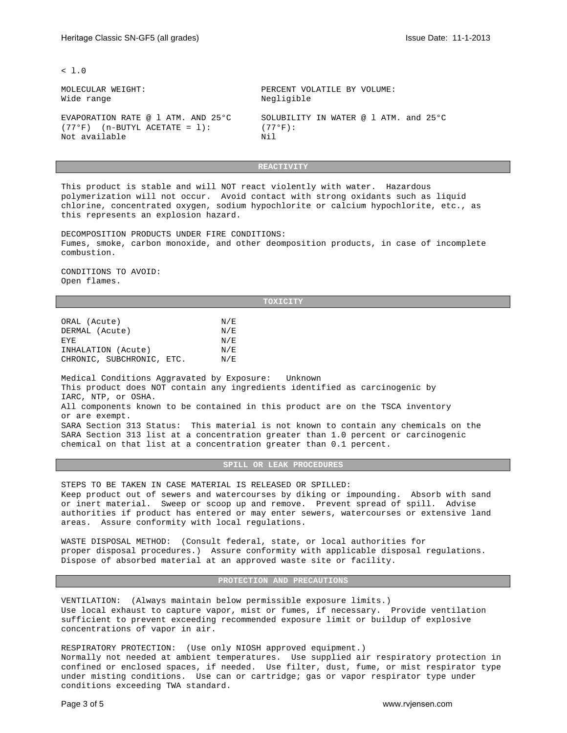$-1.0$ 

Wide range  $N$  Negligible

(77°F) (n-BUTYL ACETATE = 1):  $(77°F)$ :<br>Not available  $Nil$ Not available

MOLECULAR WEIGHT: PERCENT VOLATILE BY VOLUME:

EVAPORATION RATE @ l ATM. AND 25°C SOLUBILITY IN WATER @ l ATM. and 25°C

**REACTIVITY**

This product is stable and will NOT react violently with water. Hazardous polymerization will not occur. Avoid contact with strong oxidants such as liquid chlorine, concentrated oxygen, sodium hypochlorite or calcium hypochlorite, etc., as this represents an explosion hazard.

DECOMPOSITION PRODUCTS UNDER FIRE CONDITIONS: Fumes, smoke, carbon monoxide, and other deomposition products, in case of incomplete combustion.

CONDITIONS TO AVOID: Open flames.

#### **TOXICITY**

| ORAL (Acute)            | N/E |
|-------------------------|-----|
| DERMAL (Acute)          | N/E |
| EYE.                    | N/E |
| INHALATION (Acute)      | N/E |
| CHRONIC SUBCHRONIC ETC. | N/F |

Medical Conditions Aggravated by Exposure: Unknown This product does NOT contain any ingredients identified as carcinogenic by IARC, NTP, or OSHA. All components known to be contained in this product are on the TSCA inventory or are exempt. SARA Section 313 Status: This material is not known to contain any chemicals on the SARA Section 313 list at a concentration greater than 1.0 percent or carcinogenic chemical on that list at a concentration greater than 0.1 percent.

**SPILL OR LEAK PROCEDURES**

STEPS TO BE TAKEN IN CASE MATERIAL IS RELEASED OR SPILLED: Keep product out of sewers and watercourses by diking or impounding. Absorb with sand or inert material. Sweep or scoop up and remove. Prevent spread of spill. Advise authorities if product has entered or may enter sewers, watercourses or extensive land areas. Assure conformity with local regulations.

WASTE DISPOSAL METHOD: (Consult federal, state, or local authorities for proper disposal procedures.) Assure conformity with applicable disposal regulations. Dispose of absorbed material at an approved waste site or facility.

**PROTECTION AND PRECAUTIONS** 

VENTILATION: (Always maintain below permissible exposure limits.) Use local exhaust to capture vapor, mist or fumes, if necessary. Provide ventilation sufficient to prevent exceeding recommended exposure limit or buildup of explosive concentrations of vapor in air.

RESPIRATORY PROTECTION: (Use only NIOSH approved equipment.) Normally not needed at ambient temperatures. Use supplied air respiratory protection in confined or enclosed spaces, if needed. Use filter, dust, fume, or mist respirator type under misting conditions. Use can or cartridge; gas or vapor respirator type under conditions exceeding TWA standard.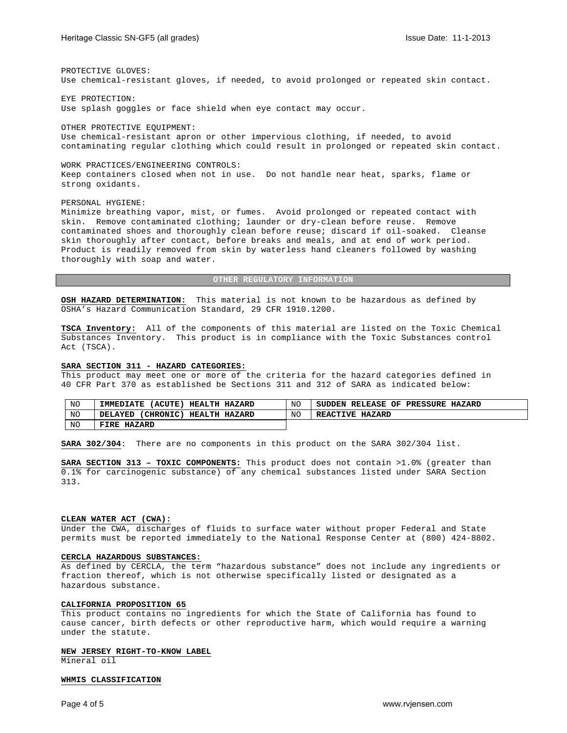PROTECTIVE GLOVES: Use chemical-resistant gloves, if needed, to avoid prolonged or repeated skin contact.

EYE PROTECTION: Use splash goggles or face shield when eye contact may occur.

OTHER PROTECTIVE EQUIPMENT: Use chemical-resistant apron or other impervious clothing, if needed, to avoid contaminating regular clothing which could result in prolonged or repeated skin contact.

WORK PRACTICES/ENGINEERING CONTROLS: Keep containers closed when not in use. Do not handle near heat, sparks, flame or strong oxidants.

## PERSONAL HYGIENE:

Minimize breathing vapor, mist, or fumes. Avoid prolonged or repeated contact with skin. Remove contaminated clothing; launder or dry-clean before reuse. Remove contaminated shoes and thoroughly clean before reuse; discard if oil-soaked. Cleanse skin thoroughly after contact, before breaks and meals, and at end of work period. Product is readily removed from skin by waterless hand cleaners followed by washing thoroughly with soap and water.

## **OTHER REGULATORY INFORMATION**

**OSH HAZARD DETERMINATION:** This material is not known to be hazardous as defined by OSHA's Hazard Communication Standard, 29 CFR 1910.1200.

**TSCA Inventory:** All of the components of this material are listed on the Toxic Chemical Substances Inventory. This product is in compliance with the Toxic Substances control Act (TSCA).

## **SARA SECTION 311 - HAZARD CATEGORIES:**

This product may meet one or more of the criteria for the hazard categories defined in 40 CFR Part 370 as established be Sections 311 and 312 of SARA as indicated below:

| NO | (ACUTE )<br><b>IMMEDIATE</b><br><b>HEALTH</b><br><b>HAZARD</b> | NTC        | OF<br><b>PRESSURE</b><br><b>RELEASE</b><br><b>SUDDEN</b><br><b>HAZARD</b> |
|----|----------------------------------------------------------------|------------|---------------------------------------------------------------------------|
| NO | <b>'CHRONIC)</b><br>HEALTH HAZARD<br>DELAYED                   | <b>NTC</b> | <b>REACTIVE</b><br><b>HAZARD</b>                                          |
| NO | FIRE<br><b>HAZARD</b>                                          |            |                                                                           |

**SARA 302/304**: There are no components in this product on the SARA 302/304 list.

**SARA SECTION 313 – TOXIC COMPONENTS:** This product does not contain >1.0% (greater than 0.1% for carcinogenic substance) of any chemical substances listed under SARA Section 313.

#### **CLEAN WATER ACT (CWA):**

Under the CWA, discharges of fluids to surface water without proper Federal and State permits must be reported immediately to the National Response Center at (800) 424-8802.

## **CERCLA HAZARDOUS SUBSTANCES:**

As defined by CERCLA, the term "hazardous substance" does not include any ingredients or fraction thereof, which is not otherwise specifically listed or designated as a hazardous substance.

## **CALIFORNIA PROPOSITION 65**

This product contains no ingredients for which the State of California has found to cause cancer, birth defects or other reproductive harm, which would require a warning under the statute.

## **NEW JERSEY RIGHT-TO-KNOW LABEL**

Mineral oil

## **WHMIS CLASSIFICATION**